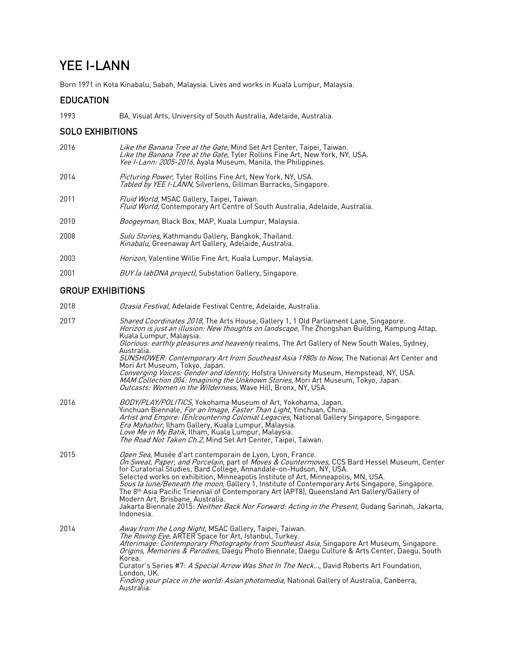# YEE I-LANN

Born 1971 in Kota Kinabalu, Sabah, Malaysia. Lives and works in Kuala Lumpur, Malaysia.

# EDUCATION

1993 BA, Visual Arts, University of South Australia, Adelaide, Australia.

# SOLO EXHIBITIONS

| 2016 | Like the Banana Tree at the Gate, Mind Set Art Center, Taipei, Taiwan.<br>Like the Banana Tree at the Gate, Tyler Rollins Fine Art, New York, NY, USA.<br>Yee I-Lann: 2005-2016, Ayala Museum, Manila, the Philippines. |
|------|-------------------------------------------------------------------------------------------------------------------------------------------------------------------------------------------------------------------------|
| 2014 | <i>Picturing Power</i> , Tyler Rollins Fine Art, New York, NY, USA.<br>Tabled by YEE I-LANN, Silverlens, Gillman Barracks, Singapore.                                                                                   |
| 2011 | Fluid World, MSAC Gallery, Taipei, Taiwan.<br><i>Fluid World</i> , Contemporary Art Centre of South Australia, Adelaide, Australia.                                                                                     |
| 2010 | <i>Boogeyman</i> , Black Box, MAP, Kuala Lumpur, Malaysia.                                                                                                                                                              |
| 2008 | Sulu Stories, Kathmandu Gallery, Bangkok, Thailand.<br>Kinabalu, Greenaway Art Gallery, Adelaide, Australia.                                                                                                            |
| 2003 | <i>Horizon</i> , Valentine Willie Fine Art, Kuala Lumpur, Malaysia.                                                                                                                                                     |
| 2001 | BUY (a labDNA project), Substation Gallery, Singapore.                                                                                                                                                                  |

### GROUP EXHIBITIONS

| 2018 | <i>Ozasia Festival</i> , Adelaide Festival Centre, Adelaide, Australia.                                                                                                                                                                                                                                                                                                                                                                                                                                                                                                                                                                                                                                         |
|------|-----------------------------------------------------------------------------------------------------------------------------------------------------------------------------------------------------------------------------------------------------------------------------------------------------------------------------------------------------------------------------------------------------------------------------------------------------------------------------------------------------------------------------------------------------------------------------------------------------------------------------------------------------------------------------------------------------------------|
| 2017 | Shared Coordinates 2018, The Arts House, Gallery 1, 1 Old Parliament Lane, Singapore.<br>Horizon is just an illusion: New thoughts on landscape, The Zhongshan Building, Kampung Attap,<br>Kuala Lumpur, Malaysia.<br>Glorious: earthly pleasures and heavenly realms, The Art Gallery of New South Wales, Sydney,<br>Australia.<br>SUNSHOWER: Contemporary Art from Southeast Asia 1980s to Now, The National Art Center and<br>Mori Art Museum, Tokyo, Japan.<br>Converging Voices: Gender and Identity, Hofstra University Museum, Hempstead, NY, USA.<br>MAM Collection 004: Imagining the Unknown Stories, Mori Art Museum, Tokyo, Japan.<br>Outcasts: Women in the Wilderness, Wave Hill, Bronx, NY, USA. |
| 2016 | BODY/PLAY/POLITICS, Yokohama Museum of Art, Yokohama, Japan.<br>Yinchuan Biennale, For an Image, Faster Than Light, Yinchuan, China.<br>Artist and Empire: (En)countering Colonial Legacies, National Gallery Singapore, Singapore.<br>Era Mahathir, Ilham Gallery, Kuala Lumpur, Malaysia.<br>Love Me in My Batik, Ilham, Kuala Lumpur, Malaysia.<br>The Road Not Taken Ch.2, Mind Set Art Center, Taipei, Taiwan.                                                                                                                                                                                                                                                                                             |
| 2015 | Open Sea, Musée d'art contemporain de Lyon, Lyon, France.<br>On Sweat, Paper, and Porcelain, part of Moves & Countermoves, CCS Bard Hessel Museum, Center<br>for Curatorial Studies, Bard College, Annandale-on-Hudson, NY, USA.<br>Selected works on exhibition, Minneapolis Institute of Art, Minneapolis, MN, USA.<br>Sous la lune/Beneath the moon, Gallery 1, Institute of Contemporary Arts Singapore, Singapore.<br>The 8th Asia Pacific Triennial of Contemporary Art (APT8), Queensland Art Gallery/Gallery of<br>Modern Art, Brisbane, Australia.<br>Jakarta Biennale 2015: Neither Back Nor Forward: Acting in the Present, Gudang Sarinah, Jakarta,<br>Indonesia.                                   |
| 2014 | Away from the Long Night, MSAC Gallery, Taipei, Taiwan.<br>The Roving Eye, ARTER Space for Art, Istanbul, Turkey.<br>Afterimage: Contemporary Photography from Southeast Asia, Singapore Art Museum, Singapore.<br>Origins, Memories & Parodies, Daegu Photo Biennale, Daegu Culture & Arts Center, Daegu, South<br>Korea.<br>Curator's Series #7: A Special Arrow Was Shot In The Neck, David Roberts Art Foundation,<br>London, UK.<br><i>Finding your place in the world: Asian photomedia</i> , National Gallery of Australia, Canberra,<br>Australia.                                                                                                                                                      |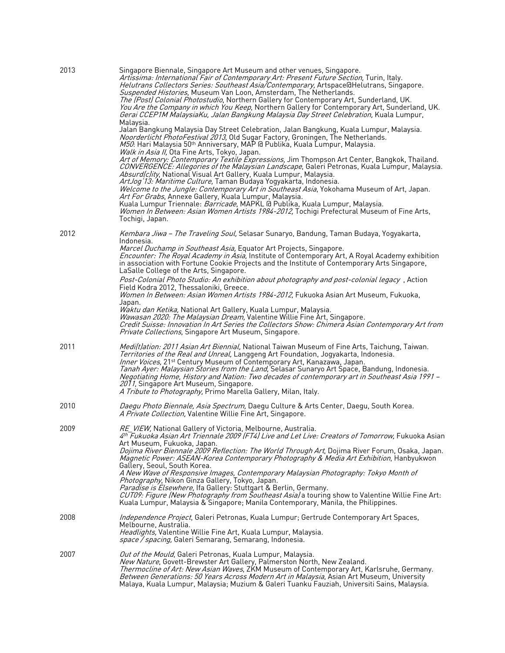| 2013 | Singapore Biennale, Singapore Art Museum and other venues, Singapore.<br>Artissima: International Fair of Contemporary Art: Present Future Section, Turin, Italy.<br>Helutrans Collectors Series: Southeast Asia/Contemporary, Artspace@Helutrans, Singapore.<br>Suspended Histories, Museum Van Loon, Amsterdam, The Netherlands.<br>The (Post) Colonial Photostudio, Northern Gallery for Contemporary Art, Sunderland, UK.<br>You Are the Company in which You Keep, Northern Gallery for Contemporary Art, Sunderland, UK.<br>Gerai CCEP1M MalaysiaKu, Jalan Bangkung Malaysia Day Street Celebration, Kuala Lumpur,<br>Malaysia. |
|------|---------------------------------------------------------------------------------------------------------------------------------------------------------------------------------------------------------------------------------------------------------------------------------------------------------------------------------------------------------------------------------------------------------------------------------------------------------------------------------------------------------------------------------------------------------------------------------------------------------------------------------------|
|      | Jalan Bangkung Malaysia Day Street Celebration, Jalan Bangkung, Kuala Lumpur, Malaysia.<br><i>Noorderlicht PhotoFestival 2013</i> , Old Sugar Factory, Groningen, The Netherlands.<br>M50: Hari Malaysia 50 <sup>th</sup> Anniversary, MAP @ Publika, Kuala Lumpur, Malaysia.<br>Walk in Asia II, Ota Fine Arts, Tokyo, Japan.                                                                                                                                                                                                                                                                                                        |
|      | Art of Memory: Contemporary Textile Expressions, Jim Thompson Art Center, Bangkok, Thailand.<br>CONVERGENCE: Allegories of the Malaysian Landscape, Galeri Petronas, Kuala Lumpur, Malaysia.<br>Absurd(c)ity, National Visual Art Gallery, Kuala Lumpur, Malaysia.<br>ArtJog'13: Maritime Culture, Taman Budaya Yogyakarta, Indonesia.<br>Welcome to the Jungle: Contemporary Art in Southeast Asia, Yokohama Museum of Art, Japan.                                                                                                                                                                                                   |
|      | Art For Grabs, Annexe Gallery, Kuala Lumpur, Malaysia.<br>Kuala Lumpur Triennale: <i>Barricade</i> , MAPKL @ Publika, Kuala Lumpur, Malaysia.<br>Women In Between: Asian Women Artists 1984-2012, Tochigi Prefectural Museum of Fine Arts,<br>Tochigi, Japan.                                                                                                                                                                                                                                                                                                                                                                         |
| 2012 | Kembara Jiwa - The Traveling Soul, Selasar Sunaryo, Bandung, Taman Budaya, Yogyakarta,<br>Indonesia.                                                                                                                                                                                                                                                                                                                                                                                                                                                                                                                                  |
|      | Marcel Duchamp in Southeast Asia, Equator Art Projects, Singapore.<br>Encounter: The Royal Academy in Asia, Institute of Contemporary Art, A Royal Academy exhibition<br>in association with Fortune Cookie Projects and the Institute of Contemporary Arts Singapore,<br>LaSalle College of the Arts, Singapore.                                                                                                                                                                                                                                                                                                                     |
|      | <i>Post-Colonial Photo Studio: An exhibition about photography and post-colonial legacy</i> , Action<br>Field Kodra 2012, Thessaloniki, Greece.<br><i>Women In Between: Asian Women Artists 1984-2012</i> , Fukuoka Asian Art Museum, Fukuoka,                                                                                                                                                                                                                                                                                                                                                                                        |
|      | Japan.<br>Waktu dan Ketika, National Art Gallery, Kuala Lumpur, Malaysia.<br>Wawasan 2020: The Malaysian Dream, Valentine Willie Fine Art, Singapore.<br>Credit Suisse: Innovation In Art Series the Collectors Show: Chimera Asian Contemporary Art from<br>Private Collections, Singapore Art Museum, Singapore.                                                                                                                                                                                                                                                                                                                    |
| 2011 | Medilt)ation: 2011 Asian Art Biennial, National Taiwan Museum of Fine Arts, Taichung, Taiwan.<br>Territories of the Real and Unreal, Langgeng Art Foundation, Jogyakarta, Indonesia.<br>Inner Voices, 21 <sup>st</sup> Century Museum of Contemporary Art, Kanazawa, Japan.<br>Tanah Ayer: Malaysian Stories from the Land, Selasar Sunaryo Art Space, Bandung, Indonesia.<br>Negotiating Home, History and Nation: Two decades of contemporary art in Southeast Asia 1991 –<br>2011, Singapore Art Museum, Singapore.<br>A Tribute to Photography, Primo Marella Gallery, Milan, Italy.                                              |
| 2010 | Daegu Photo Biennale, Asia Spectrum, Daegu Culture & Arts Center, Daegu, South Korea.<br>A Private Collection, Valentine Willie Fine Art, Singapore.                                                                                                                                                                                                                                                                                                                                                                                                                                                                                  |
| 2009 | RE_VIEW, National Gallery of Victoria, Melbourne, Australia.<br>4th Fukuoka Asian Art Triennale 2009 (FT4) Live and Let Live: Creators of Tomorrow, Fukuoka Asian<br>Art Museum, Fukuoka, Japan.<br>Dojima River Biennale 2009 Reflection: The World Through Art, Dojima River Forum, Osaka, Japan.                                                                                                                                                                                                                                                                                                                                   |
|      | Magnetic Power: ASEAN-Korea Contemporary Photography & Media Art Exhibition, Hanbyukwon<br>Gallery, Seoul, South Korea.<br>A New Wave of Responsive Images, Contemporary Malaysian Photography: Tokyo Month of                                                                                                                                                                                                                                                                                                                                                                                                                        |
|      | <i>Photography</i> , Nikon Ginza Gallery, Tokyo, Japan.<br>Paradise is Elsewhere, Ifa Gallery: Stuttgart & Berlin, Germany.<br>CUT09: Figure (New Photography from Southeast Asia) a touring show to Valentine Willie Fine Art:<br>Kuala Lumpur, Malaysia & Singapore; Manila Contemporary, Manila, the Philippines.                                                                                                                                                                                                                                                                                                                  |
| 2008 | Independence Project, Galeri Petronas, Kuala Lumpur; Gertrude Contemporary Art Spaces,<br>Melbourne, Australia.<br>Headlights, Valentine Willie Fine Art, Kuala Lumpur, Malaysia.<br><i>space / spacing,</i> Galeri Semarang, Semarang, Indonesia.                                                                                                                                                                                                                                                                                                                                                                                    |
| 2007 | <i>Out of the Mould</i> , Galeri Petronas, Kuala Lumpur, Malaysia.<br>New Nature, Govett-Brewster Art Gallery, Palmerston North, New Zealand.<br>Thermocline of Art: New Asian Waves, ZKM Museum of Contemporary Art, Karlsruhe, Germany.<br><i>Between Generations: 50 Years Across Modern Art in Malaysia</i> , Asian Art Museum, University<br>Malaya, Kuala Lumpur, Malaysia; Muzium & Galeri Tuanku Fauziah, Universiti Sains, Malaysia.                                                                                                                                                                                         |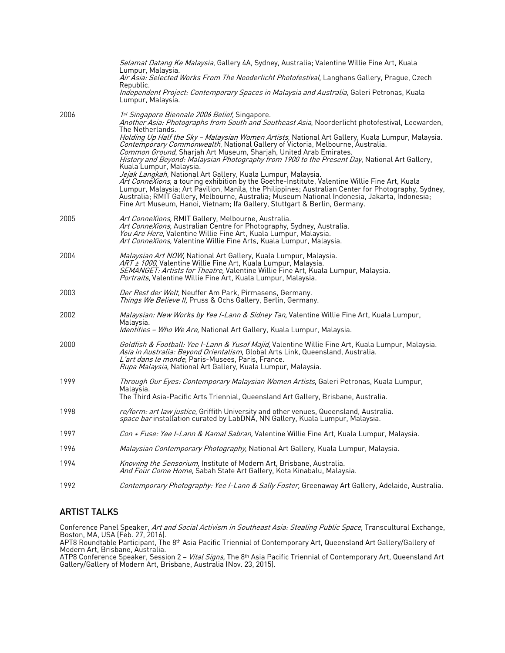|      | Selamat Datang Ke Malaysia, Gallery 4A, Sydney, Australia; Valentine Willie Fine Art, Kuala<br>Lumpur, Malaysia.<br>Air Asia: Selected Works From The Nooderlicht Photofestival, Langhans Gallery, Prague, Czech                                                                                                                                                                                                                                     |
|------|------------------------------------------------------------------------------------------------------------------------------------------------------------------------------------------------------------------------------------------------------------------------------------------------------------------------------------------------------------------------------------------------------------------------------------------------------|
|      | Republic.<br>Independent Project: Contemporary Spaces in Malaysia and Australia, Galeri Petronas, Kuala<br>Lumpur, Malaysia.                                                                                                                                                                                                                                                                                                                         |
| 2006 | 1 <sup>st</sup> Singapore Biennale 2006 Belief, Singapore.<br>Another Asia: Photographs from South and Southeast Asia, Noorderlicht photofestival, Leewarden,<br>The Netherlands.                                                                                                                                                                                                                                                                    |
|      | Holding Up Half the Sky - Malaysian Women Artists, National Art Gallery, Kuala Lumpur, Malaysia.<br>Contemporary Commonwealth, National Gallery of Victoria, Melbourne, Australia.<br>Common Ground, Sharjah Art Museum, Sharjah, United Arab Emirates.<br>History and Beyond: Malaysian Photography from 1900 to the Present Day, National Art Gallery,<br>Kuala Lumpur, Malaysia.                                                                  |
|      | Jejak Langkah, National Art Gallery, Kuala Lumpur, Malaysia.<br>Art ConneXions, a touring exhibition by the Goethe-Institute, Valentine Willie Fine Art, Kuala<br>Lumpur, Malaysia; Art Pavilion, Manila, the Philippines; Australian Center for Photography, Sydney,<br>Australia; RMIT Gallery, Melbourne, Australia; Museum National Indonesia, Jakarta, Indonesia;<br>Fine Art Museum, Hanoi, Vietnam; Ifa Gallery, Stuttgart & Berlin, Germany. |
| 2005 | Art ConneXions, RMIT Gallery, Melbourne, Australia.<br>Art ConneXions, Australian Centre for Photography, Sydney, Australia.<br>You Are Here, Valentine Willie Fine Art, Kuala Lumpur, Malaysia.<br>Art ConneXions, Valentine Willie Fine Arts, Kuala Lumpur, Malaysia.                                                                                                                                                                              |
| 2004 | Malaysian Art NOW, National Art Gallery, Kuala Lumpur, Malaysia.<br>ART ± 1000, Valentine Willie Fine Art, Kuala Lumpur, Malaysia.<br>SEMANGET: Artists for Theatre, Valentine Willie Fine Art, Kuala Lumpur, Malaysia.<br>Portraits, Valentine Willie Fine Art, Kuala Lumpur, Malaysia.                                                                                                                                                             |
| 2003 | Der Rest der Welt, Neuffer Am Park, Pirmasens, Germany.<br>Things We Believe II, Pruss & Ochs Gallery, Berlin, Germany.                                                                                                                                                                                                                                                                                                                              |
| 2002 | <i>Malaysian: New Works by Yee I-Lann &amp; Sidney Tan,</i> Valentine Willie Fine Art, Kuala Lumpur,<br>Malaysia.<br><i>Identities - Who We Are</i> , National Art Gallery, Kuala Lumpur, Malaysia.                                                                                                                                                                                                                                                  |
| 2000 | Goldfish & Football: Yee I-Lann & Yusof Majid, Valentine Willie Fine Art, Kuala Lumpur, Malaysia.<br>Asia in Australia: Beyond Orientalism, Global Arts Link, Queensland, Australia.<br>L'art dans le monde, Paris-Musees, Paris, France.<br>Rupa Malaysia, National Art Gallery, Kuala Lumpur, Malaysia.                                                                                                                                            |
| 1999 | Through Our Eyes: Contemporary Malaysian Women Artists, Galeri Petronas, Kuala Lumpur,<br>Malavsia.<br>The Third Asia-Pacific Arts Triennial, Queensland Art Gallery, Brisbane, Australia.                                                                                                                                                                                                                                                           |
| 1998 | re/form: art law justice, Griffith University and other venues, Queensland, Australia.<br>space bar installation curated by LabDNA, NN Gallery, Kuala Lumpur, Malaysia.                                                                                                                                                                                                                                                                              |
| 1997 | Con + Fuse: Yee I-Lann & Kamal Sabran, Valentine Willie Fine Art, Kuala Lumpur, Malaysia.                                                                                                                                                                                                                                                                                                                                                            |
| 1996 | Malaysian Contemporary Photography, National Art Gallery, Kuala Lumpur, Malaysia.                                                                                                                                                                                                                                                                                                                                                                    |
| 1994 | Knowing the Sensorium, Institute of Modern Art, Brisbane, Australia.<br>And Four Come Home, Sabah State Art Gallery, Kota Kinabalu, Malaysia.                                                                                                                                                                                                                                                                                                        |
| 1992 | Contemporary Photography: Yee I-Lann & Sally Foster, Greenaway Art Gallery, Adelaide, Australia.                                                                                                                                                                                                                                                                                                                                                     |

#### ARTIST TALKS

Conference Panel Speaker, *Art and Social Activism in Southeast Asia: Stealing Public Space,* Transcultural Exchange, Boston, MA, USA (Feb. 27, 2016).

APT8 Roundtable Participant, The 8th Asia Pacific Triennial of Contemporary Art, Queensland Art Gallery/Gallery of

Modern Art, Brisbane, Australia.<br>ATP8 Conference Speaker, Session 2 – *Vital Signs,* The 8th Asia Pacific Triennial of Contemporary Art, Queensland Art<br>Gallery/Gallery of Modern Art, Brisbane, Australia (Nov. 23, 2015).